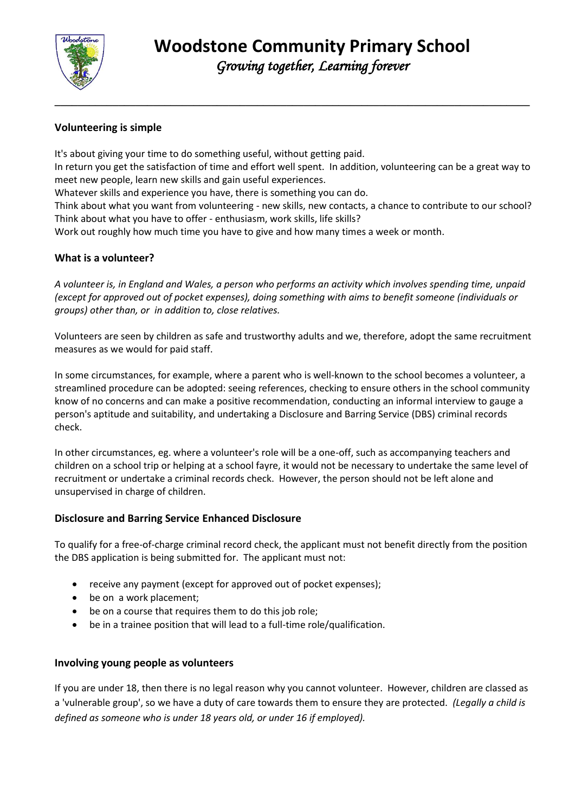

# **Volunteering is simple**

It's about giving your time to do something useful, without getting paid.

In return you get the satisfaction of time and effort well spent. In addition, volunteering can be a great way to meet new people, learn new skills and gain useful experiences.

**\_\_\_\_\_\_\_\_\_\_\_\_\_\_\_\_\_\_\_\_\_\_\_\_\_\_\_\_\_\_\_\_\_\_\_\_\_\_\_\_\_\_\_\_\_\_\_\_\_\_\_\_\_\_\_\_\_\_\_\_\_\_\_\_\_\_\_\_\_\_\_\_\_\_\_\_\_\_\_\_\_\_**

Whatever skills and experience you have, there is something you can do.

Think about what you want from volunteering - new skills, new contacts, a chance to contribute to our school? Think about what you have to offer - enthusiasm, work skills, life skills?

Work out roughly how much time you have to give and how many times a week or month.

#### **What is a volunteer?**

*A volunteer is, in England and Wales, a person who performs an activity which involves spending time, unpaid (except for approved out of pocket expenses), doing something with aims to benefit someone (individuals or groups) other than, or in addition to, close relatives.*

Volunteers are seen by children as safe and trustworthy adults and we, therefore, adopt the same recruitment measures as we would for paid staff.

In some circumstances, for example, where a parent who is well-known to the school becomes a volunteer, a streamlined procedure can be adopted: seeing references, checking to ensure others in the school community know of no concerns and can make a positive recommendation, conducting an informal interview to gauge a person's aptitude and suitability, and undertaking a Disclosure and Barring Service (DBS) criminal records check.

In other circumstances, eg. where a volunteer's role will be a one-off, such as accompanying teachers and children on a school trip or helping at a school fayre, it would not be necessary to undertake the same level of recruitment or undertake a criminal records check. However, the person should not be left alone and unsupervised in charge of children.

## **Disclosure and Barring Service Enhanced Disclosure**

To qualify for a free-of-charge criminal record check, the applicant must not benefit directly from the position the DBS application is being submitted for. The applicant must not:

- receive any payment (except for approved out of pocket expenses);
- be on a work placement;
- be on a course that requires them to do this job role;
- be in a trainee position that will lead to a full-time role/qualification.

## **Involving young people as volunteers**

If you are under 18, then there is no legal reason why you cannot volunteer. However, children are classed as a 'vulnerable group', so we have a duty of care towards them to ensure they are protected. *(Legally a child is defined as someone who is under 18 years old, or under 16 if employed).*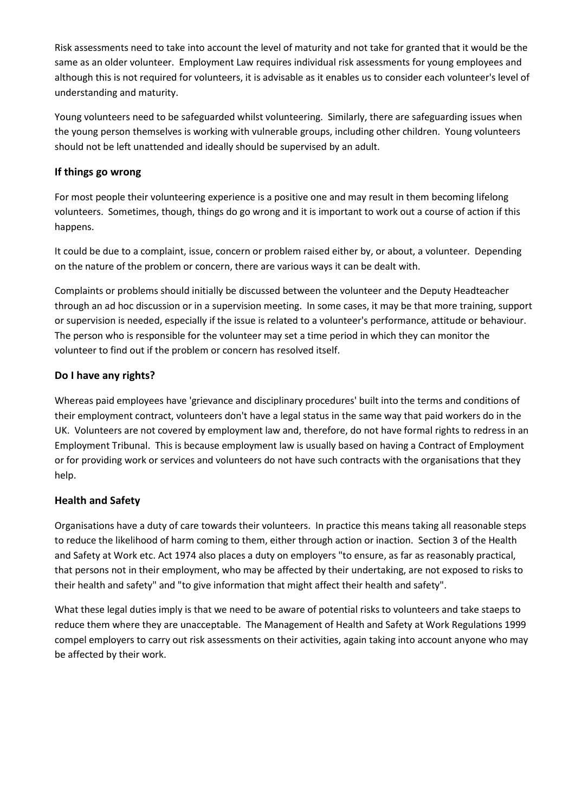Risk assessments need to take into account the level of maturity and not take for granted that it would be the same as an older volunteer. Employment Law requires individual risk assessments for young employees and although this is not required for volunteers, it is advisable as it enables us to consider each volunteer's level of understanding and maturity.

Young volunteers need to be safeguarded whilst volunteering. Similarly, there are safeguarding issues when the young person themselves is working with vulnerable groups, including other children. Young volunteers should not be left unattended and ideally should be supervised by an adult.

#### **If things go wrong**

For most people their volunteering experience is a positive one and may result in them becoming lifelong volunteers. Sometimes, though, things do go wrong and it is important to work out a course of action if this happens.

It could be due to a complaint, issue, concern or problem raised either by, or about, a volunteer. Depending on the nature of the problem or concern, there are various ways it can be dealt with.

Complaints or problems should initially be discussed between the volunteer and the Deputy Headteacher through an ad hoc discussion or in a supervision meeting. In some cases, it may be that more training, support or supervision is needed, especially if the issue is related to a volunteer's performance, attitude or behaviour. The person who is responsible for the volunteer may set a time period in which they can monitor the volunteer to find out if the problem or concern has resolved itself.

## **Do I have any rights?**

Whereas paid employees have 'grievance and disciplinary procedures' built into the terms and conditions of their employment contract, volunteers don't have a legal status in the same way that paid workers do in the UK. Volunteers are not covered by employment law and, therefore, do not have formal rights to redress in an Employment Tribunal. This is because employment law is usually based on having a Contract of Employment or for providing work or services and volunteers do not have such contracts with the organisations that they help.

## **Health and Safety**

Organisations have a duty of care towards their volunteers. In practice this means taking all reasonable steps to reduce the likelihood of harm coming to them, either through action or inaction. Section 3 of the Health and Safety at Work etc. Act 1974 also places a duty on employers "to ensure, as far as reasonably practical, that persons not in their employment, who may be affected by their undertaking, are not exposed to risks to their health and safety" and "to give information that might affect their health and safety".

What these legal duties imply is that we need to be aware of potential risks to volunteers and take staeps to reduce them where they are unacceptable. The Management of Health and Safety at Work Regulations 1999 compel employers to carry out risk assessments on their activities, again taking into account anyone who may be affected by their work.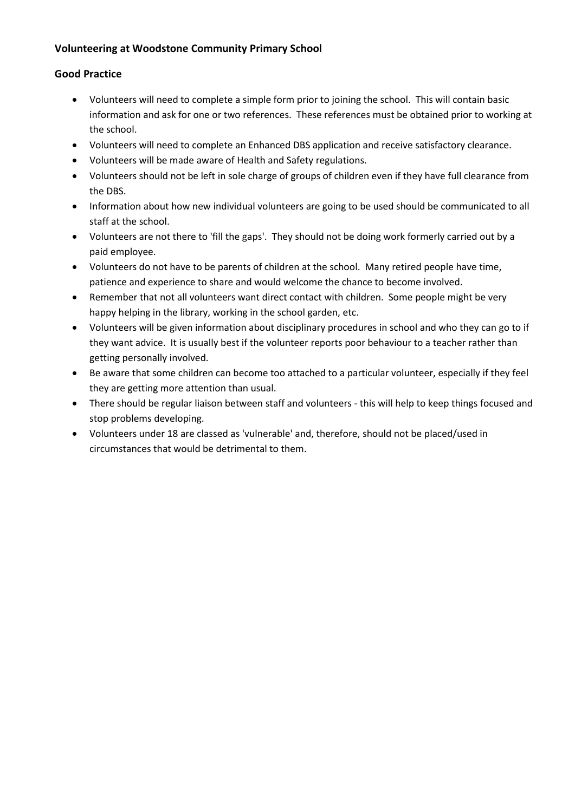## **Volunteering at Woodstone Community Primary School**

#### **Good Practice**

- Volunteers will need to complete a simple form prior to joining the school. This will contain basic information and ask for one or two references. These references must be obtained prior to working at the school.
- Volunteers will need to complete an Enhanced DBS application and receive satisfactory clearance.
- Volunteers will be made aware of Health and Safety regulations.
- Volunteers should not be left in sole charge of groups of children even if they have full clearance from the DBS.
- Information about how new individual volunteers are going to be used should be communicated to all staff at the school.
- Volunteers are not there to 'fill the gaps'. They should not be doing work formerly carried out by a paid employee.
- Volunteers do not have to be parents of children at the school. Many retired people have time, patience and experience to share and would welcome the chance to become involved.
- Remember that not all volunteers want direct contact with children. Some people might be very happy helping in the library, working in the school garden, etc.
- Volunteers will be given information about disciplinary procedures in school and who they can go to if they want advice. It is usually best if the volunteer reports poor behaviour to a teacher rather than getting personally involved.
- Be aware that some children can become too attached to a particular volunteer, especially if they feel they are getting more attention than usual.
- There should be regular liaison between staff and volunteers this will help to keep things focused and stop problems developing.
- Volunteers under 18 are classed as 'vulnerable' and, therefore, should not be placed/used in circumstances that would be detrimental to them.